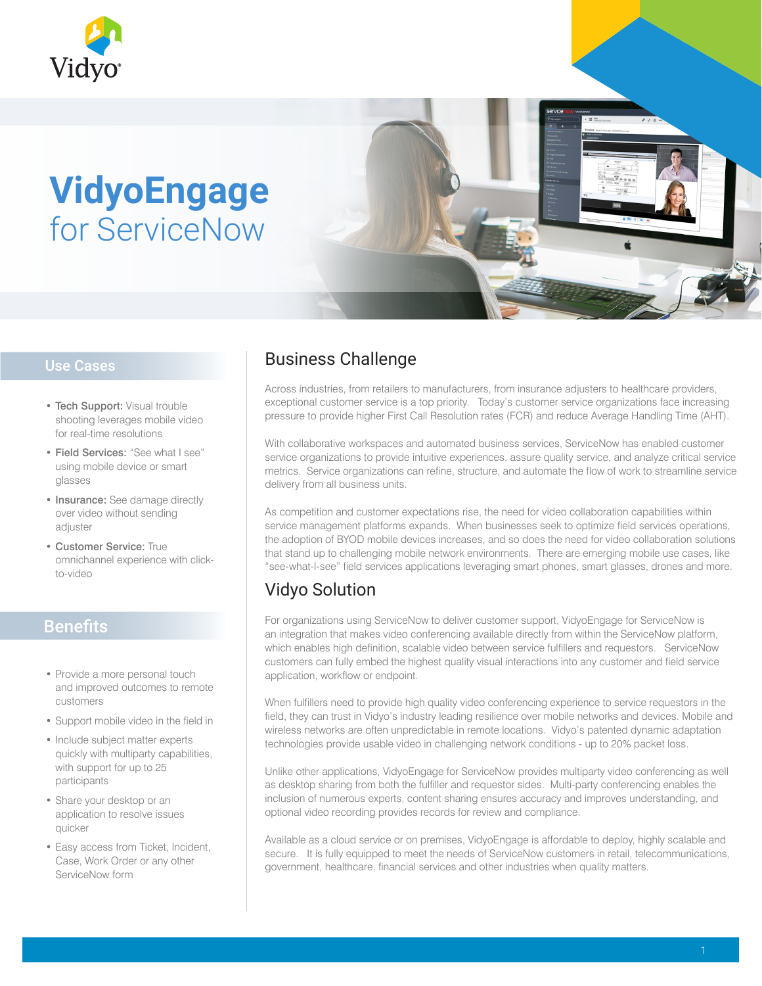

# **VidyoEngage** for ServiceNow

#### Use Cases

- Tech Support: Visual trouble shooting leverages mobile video for real-time resolutions
- Field Services: "See what I see" using mobile device or smart glasses
- Insurance: See damage directly over video without sending adjuster
- Customer Service: True omnichannel experience with clickto-video

#### Benefits

- Provide a more personal touch and improved outcomes to remote customers
- Support mobile video in the field in
- Include subject matter experts quickly with multiparty capabilities, with support for up to 25 participants
- Share your desktop or an application to resolve issues quicker
- Easy access from Ticket, Incident, Case, Work Order or any other ServiceNow form

#### Business Challenge

Across industries, from retailers to manufacturers, from insurance adjusters to healthcare providers, exceptional customer service is a top priority. Today's customer service organizations face increasing pressure to provide higher First Call Resolution rates (FCR) and reduce Average Handling Time (AHT).

With collaborative workspaces and automated business services, ServiceNow has enabled customer service organizations to provide intuitive experiences, assure quality service, and analyze critical service metrics. Service organizations can refine, structure, and automate the flow of work to streamline service delivery from all business units.

As competition and customer expectations rise, the need for video collaboration capabilities within service management platforms expands. When businesses seek to optimize field services operations, the adoption of BYOD mobile devices increases, and so does the need for video collaboration solutions that stand up to challenging mobile network environments. There are emerging mobile use cases, like "see-what-I-see" field services applications leveraging smart phones, smart glasses, drones and more.

### Vidyo Solution

For organizations using ServiceNow to deliver customer support, VidyoEngage for ServiceNow is an integration that makes video conferencing available directly from within the ServiceNow platform, which enables high definition, scalable video between service fulfillers and requestors. ServiceNow customers can fully embed the highest quality visual interactions into any customer and field service application, workflow or endpoint.

When fulfillers need to provide high quality video conferencing experience to service requestors in the field, they can trust in Vidyo's industry leading resilience over mobile networks and devices. Mobile and wireless networks are often unpredictable in remote locations. Vidyo's patented dynamic adaptation technologies provide usable video in challenging network conditions - up to 20% packet loss.

Unlike other applications, VidyoEngage for ServiceNow provides multiparty video conferencing as well as desktop sharing from both the fulfiller and requestor sides. Multi-party conferencing enables the inclusion of numerous experts, content sharing ensures accuracy and improves understanding, and optional video recording provides records for review and compliance.

Available as a cloud service or on premises, VidyoEngage is affordable to deploy, highly scalable and secure. It is fully equipped to meet the needs of ServiceNow customers in retail, telecommunications, government, healthcare, financial services and other industries when quality matters.